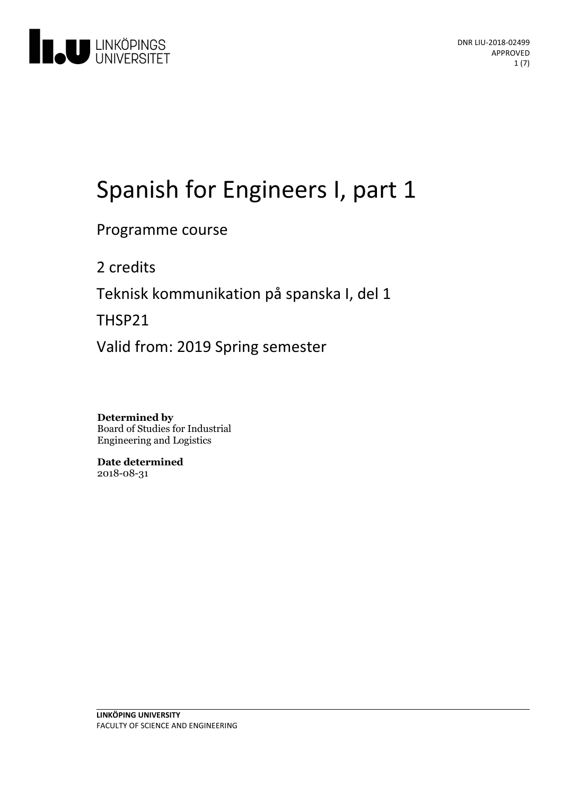

# Spanish for Engineers I, part 1

## Programme course

2 credits

Teknisk kommunikation på spanska I, del 1

THSP21

Valid from: 2019 Spring semester

**Determined by** Board of Studies for Industrial Engineering and Logistics

**Date determined** 2018-08-31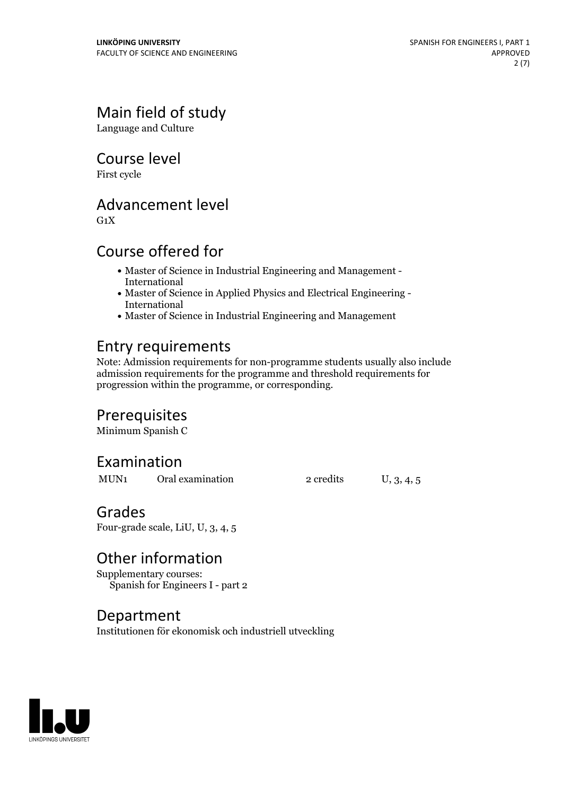# Main field of study

Language and Culture

Course level

First cycle

## Advancement level

 $G_1X$ 

# Course offered for

- Master of Science in Industrial Engineering and Management International
- Master of Science in Applied Physics and Electrical Engineering International
- Master of Science in Industrial Engineering and Management

# Entry requirements

Note: Admission requirements for non-programme students usually also include admission requirements for the programme and threshold requirements for progression within the programme, or corresponding.

### Prerequisites

Minimum Spanish C

# Examination

MUN<sub>1</sub> Oral examination 2 credits U, 3, 4, 5

### Grades

Four-grade scale, LiU, U, 3, 4, 5

# Other information

Supplementary courses: Spanish for Engineers I - part 2

Department Institutionen för ekonomisk och industriell utveckling

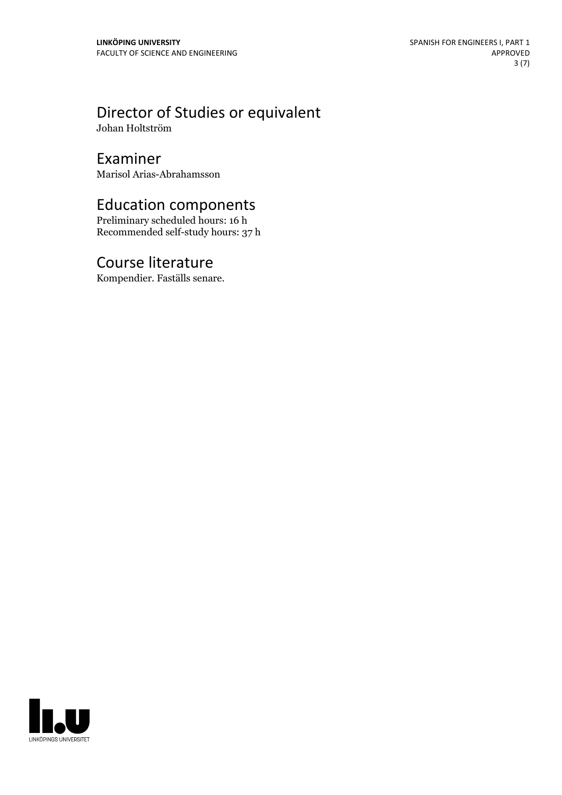# Director of Studies or equivalent

Johan Holtström

### Examiner

Marisol Arias-Abrahamsson

# Education components

Preliminary scheduled hours: 16 h Recommended self-study hours: 37 h

### Course literature

Kompendier. Faställs senare.

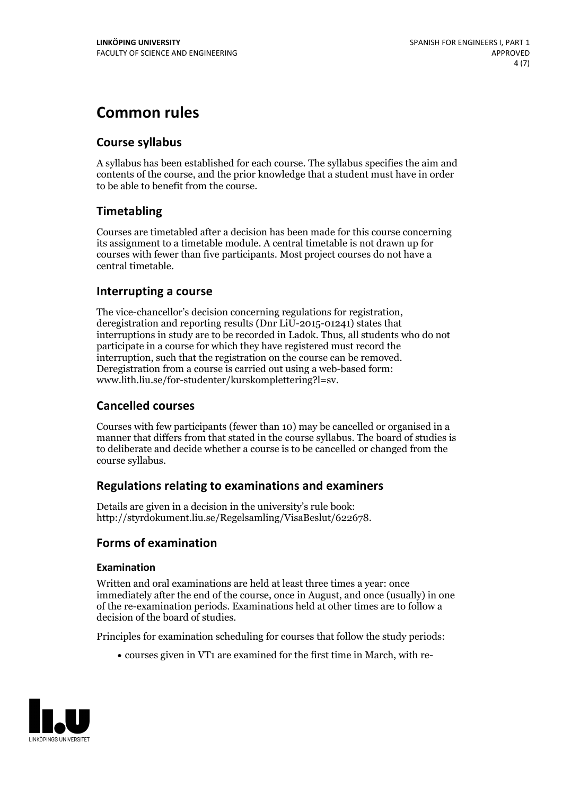# **Common rules**

### **Course syllabus**

A syllabus has been established for each course. The syllabus specifies the aim and contents of the course, and the prior knowledge that a student must have in order to be able to benefit from the course.

### **Timetabling**

Courses are timetabled after a decision has been made for this course concerning its assignment to a timetable module. A central timetable is not drawn up for courses with fewer than five participants. Most project courses do not have a central timetable.

### **Interrupting a course**

The vice-chancellor's decision concerning regulations for registration, deregistration and reporting results (Dnr LiU-2015-01241) states that interruptions in study are to be recorded in Ladok. Thus, all students who do not participate in a course for which they have registered must record the interruption, such that the registration on the course can be removed. Deregistration from <sup>a</sup> course is carried outusing <sup>a</sup> web-based form: www.lith.liu.se/for-studenter/kurskomplettering?l=sv.

### **Cancelled courses**

Courses with few participants (fewer than 10) may be cancelled or organised in a manner that differs from that stated in the course syllabus. The board of studies is to deliberate and decide whether a course is to be cancelled orchanged from the course syllabus.

### **Regulations relatingto examinations and examiners**

Details are given in a decision in the university's rule book: http://styrdokument.liu.se/Regelsamling/VisaBeslut/622678.

### **Forms of examination**

### **Examination**

Written and oral examinations are held at least three times a year: once immediately after the end of the course, once in August, and once (usually) in one of the re-examination periods. Examinations held at other times are to follow a decision of the board of studies.

Principles for examination scheduling for courses that follow the study periods:

courses given in VT1 are examined for the first time in March, with re-

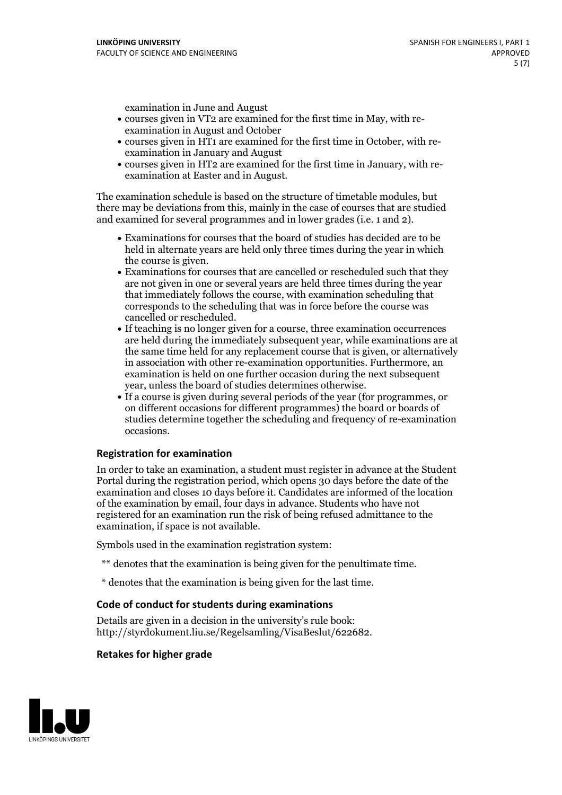examination in June and August

- courses given in VT2 are examined for the first time in May, with re-examination in August and October
- courses given in HT1 are examined for the first time in October, with re-examination in January and August
- courses given in HT2 are examined for the first time in January, with re-examination at Easter and in August.

The examination schedule is based on the structure of timetable modules, but there may be deviations from this, mainly in the case of courses that are studied and examined for several programmes and in lower grades (i.e. 1 and 2).

- Examinations for courses that the board of studies has decided are to be held in alternate years are held only three times during the year in which
- the course is given.<br>• Examinations for courses that are cancelled or rescheduled such that they are not given in one or several years are held three times during the year that immediately follows the course, with examination scheduling that corresponds to the scheduling that was in force before the course was cancelled or rescheduled.<br>• If teaching is no longer given for a course, three examination occurrences
- are held during the immediately subsequent year, while examinations are at the same time held for any replacement course that is given, or alternatively in association with other re-examination opportunities. Furthermore, an examination is held on one further occasion during the next subsequent year, unless the board of studies determines otherwise.<br>• If a course is given during several periods of the year (for programmes, or
- on different occasions for different programmes) the board orboards of studies determine together the scheduling and frequency of re-examination occasions.

#### **Registration for examination**

In order to take an examination, a student must register in advance at the Student Portal during the registration period, which opens 30 days before the date of the examination and closes 10 days before it. Candidates are informed of the location of the examination by email, four days in advance. Students who have not registered for an examination run the risk of being refused admittance to the examination, if space is not available.

Symbols used in the examination registration system:

- \*\* denotes that the examination is being given for the penultimate time.
- \* denotes that the examination is being given for the last time.

#### **Code of conduct for students during examinations**

Details are given in a decision in the university's rule book: http://styrdokument.liu.se/Regelsamling/VisaBeslut/622682.

#### **Retakes for higher grade**

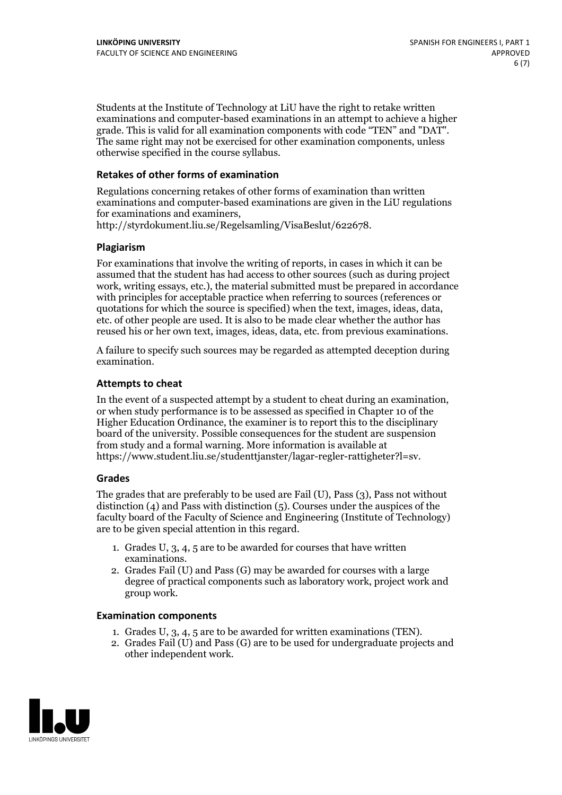Students at the Institute of Technology at LiU have the right to retake written examinations and computer-based examinations in an attempt to achieve a higher grade. This is valid for all examination components with code "TEN" and "DAT". The same right may not be exercised for other examination components, unless otherwise specified in the course syllabus.

### **Retakes of other forms of examination**

Regulations concerning retakes of other forms of examination than written examinations and computer-based examinations are given in the LiU regulations for examinations and examiners, http://styrdokument.liu.se/Regelsamling/VisaBeslut/622678.

#### **Plagiarism**

For examinations that involve the writing of reports, in cases in which it can be assumed that the student has had access to other sources (such as during project work, writing essays, etc.), the material submitted must be prepared in accordance with principles for acceptable practice when referring to sources (references or quotations for which the source is specified) when the text, images, ideas, data, etc. of other people are used. It is also to be made clear whether the author has reused his or her own text, images, ideas, data, etc. from previous examinations.

A failure to specify such sources may be regarded as attempted deception during examination.

#### **Attempts to cheat**

In the event of <sup>a</sup> suspected attempt by <sup>a</sup> student to cheat during an examination, or when study performance is to be assessed as specified in Chapter <sup>10</sup> of the Higher Education Ordinance, the examiner is to report this to the disciplinary board of the university. Possible consequences for the student are suspension from study and a formal warning. More information is available at https://www.student.liu.se/studenttjanster/lagar-regler-rattigheter?l=sv.

#### **Grades**

The grades that are preferably to be used are Fail (U), Pass (3), Pass not without distinction  $(4)$  and Pass with distinction  $(5)$ . Courses under the auspices of the faculty board of the Faculty of Science and Engineering (Institute of Technology) are to be given special attention in this regard.

- 1. Grades U, 3, 4, 5 are to be awarded for courses that have written
- examinations. 2. Grades Fail (U) and Pass (G) may be awarded for courses with <sup>a</sup> large degree of practical components such as laboratory work, project work and group work.

#### **Examination components**

- 
- 1. Grades U, 3, 4, <sup>5</sup> are to be awarded for written examinations (TEN). 2. Grades Fail (U) and Pass (G) are to be used for undergraduate projects and other independent work.